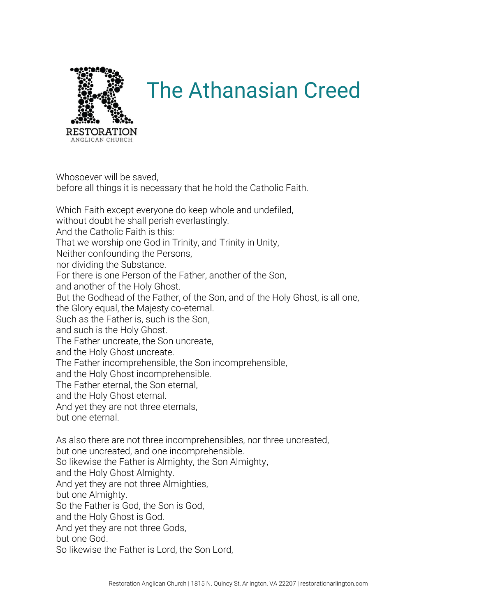

## The Athanasian Creed

Whosoever will be saved, before all things it is necessary that he hold the Catholic Faith.

Which Faith except everyone do keep whole and undefiled, without doubt he shall perish everlastingly. And the Catholic Faith is this: That we worship one God in Trinity, and Trinity in Unity, Neither confounding the Persons, nor dividing the Substance. For there is one Person of the Father, another of the Son, and another of the Holy Ghost. But the Godhead of the Father, of the Son, and of the Holy Ghost, is all one, the Glory equal, the Majesty co-eternal. Such as the Father is, such is the Son, and such is the Holy Ghost. The Father uncreate, the Son uncreate, and the Holy Ghost uncreate. The Father incomprehensible, the Son incomprehensible, and the Holy Ghost incomprehensible. The Father eternal, the Son eternal, and the Holy Ghost eternal. And yet they are not three eternals, but one eternal. As also there are not three incomprehensibles, nor three uncreated, but one uncreated, and one incomprehensible. So likewise the Father is Almighty, the Son Almighty, and the Holy Ghost Almighty. And yet they are not three Almighties, but one Almighty. So the Father is God, the Son is God, and the Holy Ghost is God. And yet they are not three Gods,

but one God.

So likewise the Father is Lord, the Son Lord,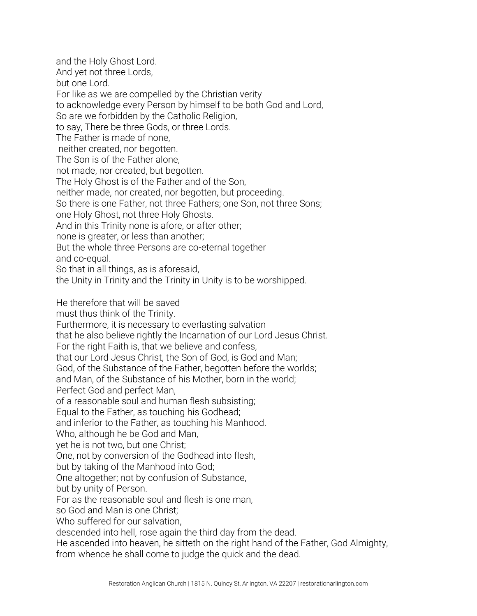and the Holy Ghost Lord. And yet not three Lords, but one Lord. For like as we are compelled by the Christian verity to acknowledge every Person by himself to be both God and Lord, So are we forbidden by the Catholic Religion, to say, There be three Gods, or three Lords. The Father is made of none, neither created, nor begotten. The Son is of the Father alone, not made, nor created, but begotten. The Holy Ghost is of the Father and of the Son, neither made, nor created, nor begotten, but proceeding. So there is one Father, not three Fathers; one Son, not three Sons; one Holy Ghost, not three Holy Ghosts. And in this Trinity none is afore, or after other; none is greater, or less than another; But the whole three Persons are co-eternal together and co-equal. So that in all things, as is aforesaid, the Unity in Trinity and the Trinity in Unity is to be worshipped. He therefore that will be saved must thus think of the Trinity. Furthermore, it is necessary to everlasting salvation that he also believe rightly the Incarnation of our Lord Jesus Christ. For the right Faith is, that we believe and confess, that our Lord Jesus Christ, the Son of God, is God and Man; God, of the Substance of the Father, begotten before the worlds; and Man, of the Substance of his Mother, born in the world; Perfect God and perfect Man, of a reasonable soul and human flesh subsisting; Equal to the Father, as touching his Godhead; and inferior to the Father, as touching his Manhood. Who, although he be God and Man, yet he is not two, but one Christ; One, not by conversion of the Godhead into flesh, but by taking of the Manhood into God; One altogether; not by confusion of Substance, but by unity of Person. For as the reasonable soul and flesh is one man, so God and Man is one Christ; Who suffered for our salvation, descended into hell, rose again the third day from the dead. He ascended into heaven, he sitteth on the right hand of the Father, God Almighty, from whence he shall come to judge the quick and the dead.